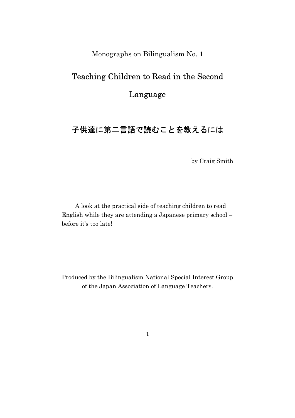Monographs on Bilingualism No. 1

# Teaching Children to Read in the Second

### Language

# 子供達に第二言語で読むことを教えるには

by Craig Smith

A look at the practical side of teaching children to read English while they are attending a Japanese primary school – before it's too late!

Produced by the Bilingualism National Special Interest Group of the Japan Association of Language Teachers.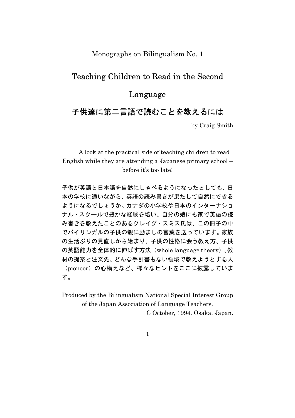Monographs on Bilingualism No. 1

### Teaching Children to Read in the Second

## Language

# 子供達に第二言語で読むことを教えるには

by Craig Smith

A look at the practical side of teaching children to read English while they are attending a Japanese primary school – before it's too late!

子供が英語と日本語を自然にしゃべるようになったとしても、日 本の学校に通いながら、英語の読み書きが果たして自然にできる ようになるでしょうか。カナダの小学校や日本のインターナショ ナル・スクールで豊かな経験を培い、自分の娘にも家で英語の読 み書きを教えたことのあるクレイグ・スミス氏は、この冊子の中 でバイリンガルの子供の親に励ましの言葉を送っています。家族 の生活ぶりの見直しから始まり、子供の性格に会う教え方、子供 の英語能力を全体的に伸ばす方法(whole language theory)、教 材の提案と注文先、どんな手引書もない領域で教えようとする人 (pioneer)の心構えなど、様々なヒントをここに披露していま す。

Produced by the Bilingualism National Special Interest Group of the Japan Association of Language Teachers.

C October, 1994. Osaka, Japan.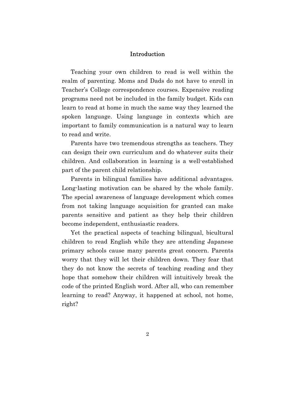#### Introduction

Teaching your own children to read is well within the realm of parenting. Moms and Dads do not have to enroll in Teacher's College correspondence courses. Expensive reading programs need not be included in the family budget. Kids can learn to read at home in much the same way they learned the spoken language. Using language in contexts which are important to family communication is a natural way to learn to read and write.

Parents have two tremendous strengths as teachers. They can design their own curriculum and do whatever suits their children. And collaboration in learning is a well-established part of the parent child relationship.

Parents in bilingual families have additional advantages. Long-lasting motivation can be shared by the whole family. The special awareness of language development which comes from not taking language acquisition for granted can make parents sensitive and patient as they help their children become independent, enthusiastic readers.

Yet the practical aspects of teaching bilingual, bicultural children to read English while they are attending Japanese primary schools cause many parents great concern. Parents worry that they will let their children down. They fear that they do not know the secrets of teaching reading and they hope that somehow their children will intuitively break the code of the printed English word. After all, who can remember learning to read? Anyway, it happened at school, not home, right?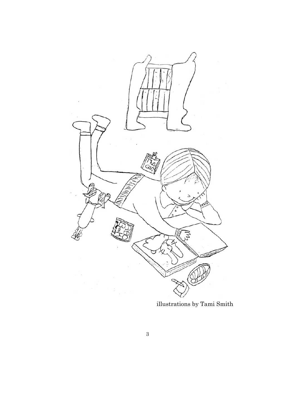

illustrations by Tami Smith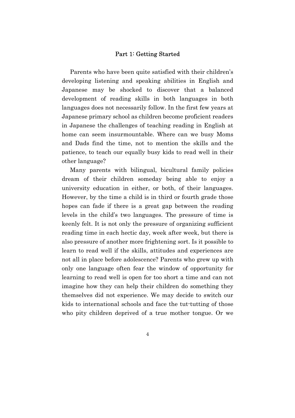#### Part 1: Getting Started

Parents who have been quite satisfied with their children's developing listening and speaking abilities in English and Japanese may be shocked to discover that a balanced development of reading skills in both languages in both languages does not necessarily follow. In the first few years at Japanese primary school as children become proficient readers in Japanese the challenges of teaching reading in English at home can seem insurmountable. Where can we busy Moms and Dads find the time, not to mention the skills and the patience, to teach our equally busy kids to read well in their other language?

Many parents with bilingual, bicultural family policies dream of their children someday being able to enjoy a university education in either, or both, of their languages. However, by the time a child is in third or fourth grade those hopes can fade if there is a great gap between the reading levels in the child's two languages. The pressure of time is keenly felt. It is not only the pressure of organizing sufficient reading time in each hectic day, week after week, but there is also pressure of another more frightening sort. Is it possible to learn to read well if the skills, attitudes and experiences are not all in place before adolescence? Parents who grew up with only one language often fear the window of opportunity for learning to read well is open for too short a time and can not imagine how they can help their children do something they themselves did not experience. We may decide to switch our kids to international schools and face the tut-tutting of those who pity children deprived of a true mother tongue. Or we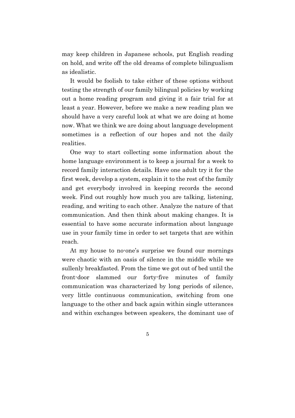may keep children in Japanese schools, put English reading on hold, and write off the old dreams of complete bilingualism as idealistic.

It would be foolish to take either of these options without testing the strength of our family bilingual policies by working out a home reading program and giving it a fair trial for at least a year. However, before we make a new reading plan we should have a very careful look at what we are doing at home now. What we think we are doing about language development sometimes is a reflection of our hopes and not the daily realities.

One way to start collecting some information about the home language environment is to keep a journal for a week to record family interaction details. Have one adult try it for the first week, develop a system, explain it to the rest of the family and get everybody involved in keeping records the second week. Find out roughly how much you are talking, listening, reading, and writing to each other. Analyze the nature of that communication. And then think about making changes. It is essential to have some accurate information about language use in your family time in order to set targets that are within reach.

At my house to no-one's surprise we found our mornings were chaotic with an oasis of silence in the middle while we sullenly breakfasted. From the time we got out of bed until the front-door slammed our forty-five minutes of family communication was characterized by long periods of silence, very little continuous communication, switching from one language to the other and back again within single utterances and within exchanges between speakers, the dominant use of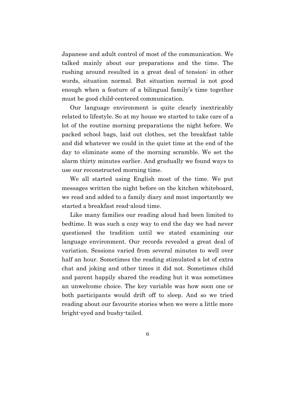Japanese and adult control of most of the communication. We talked mainly about our preparations and the time. The rushing around resulted in a great deal of tension: in other words, situation normal. But situation normal is not good enough when a feature of a bilingual family's time together must be good child-centered communication.

Our language environment is quite clearly inextricably related to lifestyle. So at my house we started to take care of a lot of the routine morning preparations the night before. We packed school bags, laid out clothes, set the breakfast table and did whatever we could in the quiet time at the end of the day to eliminate some of the morning scramble. We set the alarm thirty minutes earlier. And gradually we found ways to use our reconstructed morning time.

We all started using English most of the time. We put messages written the night before on the kitchen whiteboard, we read and added to a family diary and most importantly we started a breakfast read-aloud time.

Like many families our reading aloud had been limited to bedtime. It was such a cozy way to end the day we had never questioned the tradition until we stated examining our language environment. Our records revealed a great deal of variation. Sessions varied from several minutes to well over half an hour. Sometimes the reading stimulated a lot of extra chat and joking and other times it did not. Sometimes child and parent happily shared the reading but it was sometimes an unwelcome choice. The key variable was how soon one or both participants would drift off to sleep. And so we tried reading about our favourite stories when we were a little more bright-eyed and bushy-tailed.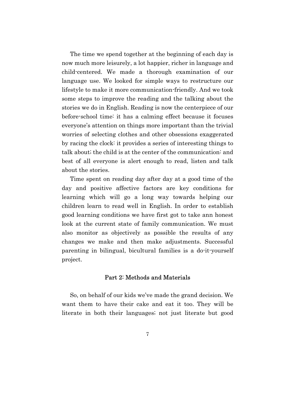The time we spend together at the beginning of each day is now much more leisurely, a lot happier, richer in language and child-centered. We made a thorough examination of our language use. We looked for simple ways to restructure our lifestyle to make it more communication-friendly. And we took some steps to improve the reading and the talking about the stories we do in English. Reading is now the centerpiece of our before-school time: it has a calming effect because it focuses everyone's attention on things more important than the trivial worries of selecting clothes and other obsessions exaggerated by racing the clock: it provides a series of interesting things to talk about; the child is at the center of the communication: and best of all everyone is alert enough to read, listen and talk about the stories.

Time spent on reading day after day at a good time of the day and positive affective factors are key conditions for learning which will go a long way towards helping our children learn to read well in English. In order to establish good learning conditions we have first got to take ann honest look at the current state of family communication. We must also monitor as objectively as possible the results of any changes we make and then make adjustments. Successful parenting in bilingual, bicultural families is a do-it-yourself project.

#### Part 2: Methods and Materials

So, on behalf of our kids we've made the grand decision. We want them to have their cake and eat it too. They will be literate in both their languages; not just literate but good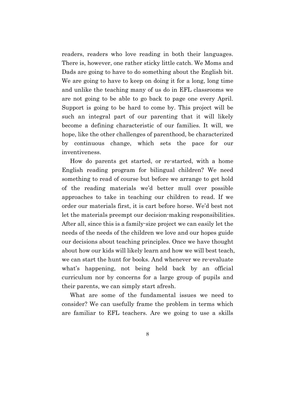readers, readers who love reading in both their languages. There is, however, one rather sticky little catch. We Moms and Dads are going to have to do something about the English bit. We are going to have to keep on doing it for a long, long time and unlike the teaching many of us do in EFL classrooms we are not going to be able to go back to page one every April. Support is going to be hard to come by. This project will be such an integral part of our parenting that it will likely become a defining characteristic of our families. It will, we hope, like the other challenges of parenthood, be characterized by continuous change, which sets the pace for our inventiveness.

How do parents get started, or re-started, with a home English reading program for bilingual children? We need something to read of course but before we arrange to get hold of the reading materials we'd better mull over possible approaches to take in teaching our children to read. If we order our materials first, it is cart before horse. We'd best not let the materials preempt our decision-making responsibilities. After all, since this is a family-size project we can easily let the needs of the needs of the children we love and our hopes guide our decisions about teaching principles. Once we have thought about how our kids will likely learn and how we will best teach, we can start the hunt for books. And whenever we re-evaluate what's happening, not being held back by an official curriculum nor by concerns for a large group of pupils and their parents, we can simply start afresh.

What are some of the fundamental issues we need to consider? We can usefully frame the problem in terms which are familiar to EFL teachers. Are we going to use a skills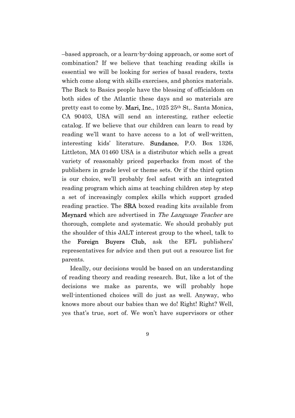–based approach, or a learn-by-doing approach, or some sort of combination? If we believe that teaching reading skills is essential we will be looking for series of basal readers, texts which come along with skills exercises, and phonics materials. The Back to Basics people have the blessing of officialdom on both sides of the Atlantic these days and so materials are pretty east to come by. Mari, Inc., 1025 25<sup>th</sup> St., Santa Monica, CA 90403, USA will send an interesting, rather eclectic catalog. If we believe that our children can learn to read by reading we'll want to have access to a lot of well-written, interesting kids' literature. Sundance, P.O. Box 1326, Littleton, MA 01460 USA is a distributor which sells a great variety of reasonably priced paperbacks from most of the publishers in grade level or theme sets. Or if the third option is our choice, we'll probably feel safest with an integrated reading program which aims at teaching children step by step a set of increasingly complex skills which support graded reading practice. The SRA boxed reading kits available from Meynard which are advertised in The Language Teacher are thorough, complete and systematic. We should probably put the shoulder of this JALT interest group to the wheel, talk to the Foreign Buyers Club, ask the EFL publishers' representatives for advice and then put out a resource list for parents.

Ideally, our decisions would be based on an understanding of reading theory and reading research. But, like a lot of the decisions we make as parents, we will probably hope well-intentioned choices will do just as well. Anyway, who knows more about our babies than we do! Right! Right? Well, yes that's true, sort of. We won't have supervisors or other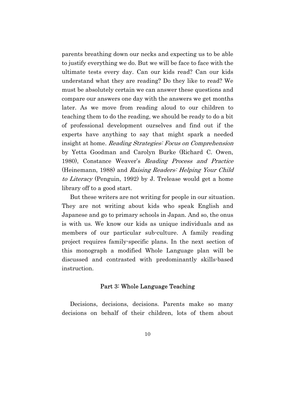parents breathing down our necks and expecting us to be able to justify everything we do. But we will be face to face with the ultimate tests every day. Can our kids read? Can our kids understand what they are reading? Do they like to read? We must be absolutely certain we can answer these questions and compare our answers one day with the answers we get months later. As we move from reading aloud to our children to teaching them to do the reading, we should be ready to do a bit of professional development ourselves and find out if the experts have anything to say that might spark a needed insight at home. Reading Strategies: Focus on Comprehension by Yetta Goodman and Carolyn Burke (Richard C. Owen, 1980), Constance Weaver's Reading Process and Practice (Heinemann, 1988) and Raising Readers: Helping Your Child to Literacy (Penguin, 1992) by J. Trelease would get a home library off to a good start.

But these writers are not writing for people in our situation. They are not writing about kids who speak English and Japanese and go to primary schools in Japan. And so, the onus is with us. We know our kids as unique individuals and as members of our particular sub-culture. A family reading project requires family-specific plans. In the next section of this monograph a modified Whole Language plan will be discussed and contrasted with predominantly skills-based instruction.

#### Part 3: Whole Language Teaching

Decisions, decisions, decisions. Parents make so many decisions on behalf of their children, lots of them about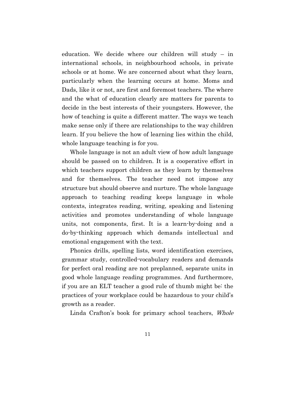education. We decide where our children will study – in international schools, in neighbourhood schools, in private schools or at home. We are concerned about what they learn, particularly when the learning occurs at home. Moms and Dads, like it or not, are first and foremost teachers. The where and the what of education clearly are matters for parents to decide in the best interests of their youngsters. However, the how of teaching is quite a different matter. The ways we teach make sense only if there are relationships to the way children learn. If you believe the how of learning lies within the child, whole language teaching is for you.

Whole language is not an adult view of how adult language should be passed on to children. It is a cooperative effort in which teachers support children as they learn by themselves and for themselves. The teacher need not impose any structure but should observe and nurture. The whole language approach to teaching reading keeps language in whole contexts, integrates reading, writing, speaking and listening activities and promotes understanding of whole language units, not components, first. It is a learn-by-doing and a do-by-thinking approach which demands intellectual and emotional engagement with the text.

Phonics drills, spelling lists, word identification exercises, grammar study, controlled-vocabulary readers and demands for perfect oral reading are not preplanned, separate units in good whole language reading programmes. And furthermore, if you are an ELT teacher a good rule of thumb might be: the practices of your workplace could be hazardous to your child's growth as a reader.

Linda Crafton's book for primary school teachers, Whole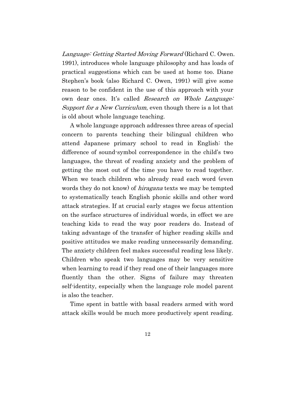Language: Getting Started Moving Forward (Richard C. Owen. 1991), introduces whole language philosophy and has loads of practical suggestions which can be used at home too. Diane Stephen's book (also Richard C. Owen, 1991) will give some reason to be confident in the use of this approach with your own dear ones. It's called Research on Whole Language: Support for a New Curriculum, even though there is a lot that is old about whole language teaching.

A whole language approach addresses three areas of special concern to parents teaching their bilingual children who attend Japanese primary school to read in English: the difference of sound-symbol correspondence in the child's two languages, the threat of reading anxiety and the problem of getting the most out of the time you have to read together. When we teach children who already read each word (even words they do not know) of *hiragana* texts we may be tempted to systematically teach English phonic skills and other word attack strategies. If at crucial early stages we focus attention on the surface structures of individual words, in effect we are teaching kids to read the way poor readers do. Instead of taking advantage of the transfer of higher reading skills and positive attitudes we make reading unnecessarily demanding. The anxiety children feel makes successful reading less likely. Children who speak two languages may be very sensitive when learning to read if they read one of their languages more fluently than the other. Signs of failure may threaten self-identity, especially when the language role model parent is also the teacher.

Time spent in battle with basal readers armed with word attack skills would be much more productively spent reading.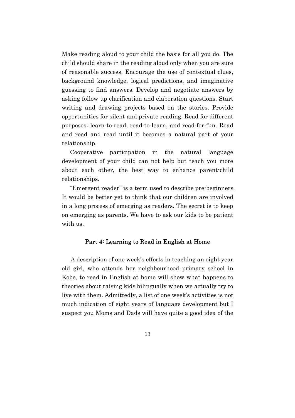Make reading aloud to your child the basis for all you do. The child should share in the reading aloud only when you are sure of reasonable success. Encourage the use of contextual clues, background knowledge, logical predictions, and imaginative guessing to find answers. Develop and negotiate answers by asking follow up clarification and elaboration questions. Start writing and drawing projects based on the stories. Provide opportunities for silent and private reading. Read for different purposes: learn-to-read, read-to-learn, and read-for-fun. Read and read and read until it becomes a natural part of your relationship.

Cooperative participation in the natural language development of your child can not help but teach you more about each other, the best way to enhance parent-child relationships.

"Emergent reader" is a term used to describe pre-beginners. It would be better yet to think that our children are involved in a long process of emerging as readers. The secret is to keep on emerging as parents. We have to ask our kids to be patient with us.

#### Part 4: Learning to Read in English at Home

A description of one week's efforts in teaching an eight year old girl, who attends her neighbourhood primary school in Kobe, to read in English at home will show what happens to theories about raising kids bilingually when we actually try to live with them. Admittedly, a list of one week's activities is not much indication of eight years of language development but I suspect you Moms and Dads will have quite a good idea of the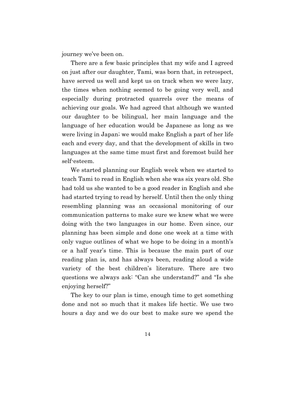journey we've been on.

There are a few basic principles that my wife and I agreed on just after our daughter, Tami, was born that, in retrospect, have served us well and kept us on track when we were lazy, the times when nothing seemed to be going very well, and especially during protracted quarrels over the means of achieving our goals. We had agreed that although we wanted our daughter to be bilingual, her main language and the language of her education would be Japanese as long as we were living in Japan; we would make English a part of her life each and every day, and that the development of skills in two languages at the same time must first and foremost build her self-esteem.

We started planning our English week when we started to teach Tami to read in English when she was six years old. She had told us she wanted to be a good reader in English and she had started trying to read by herself. Until then the only thing resembling planning was an occasional monitoring of our communication patterns to make sure we knew what we were doing with the two languages in our home. Even since, our planning has been simple and done one week at a time with only vague outlines of what we hope to be doing in a month's or a half year's time. This is because the main part of our reading plan is, and has always been, reading aloud a wide variety of the best children's literature. There are two questions we always ask: "Can she understand?" and "Is she enjoying herself?"

The key to our plan is time, enough time to get something done and not so much that it makes life hectic. We use two hours a day and we do our best to make sure we spend the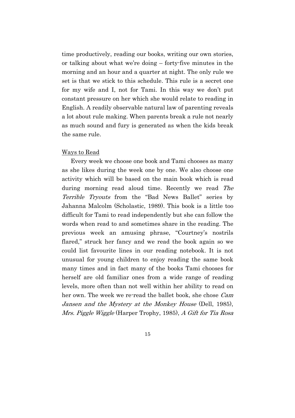time productively, reading our books, writing our own stories, or talking about what we're doing – forty-five minutes in the morning and an hour and a quarter at night. The only rule we set is that we stick to this schedule. This rule is a secret one for my wife and I, not for Tami. In this way we don't put constant pressure on her which she would relate to reading in English. A readily observable natural law of parenting reveals a lot about rule making. When parents break a rule not nearly as much sound and fury is generated as when the kids break the same rule.

#### Ways to Read

Every week we choose one book and Tami chooses as many as she likes during the week one by one. We also choose one activity which will be based on the main book which is read during morning read aloud time. Recently we read The Terrible Tryouts from the "Bad News Ballet" series by Jahanna Malcolm (Scholastic, 1989). This book is a little too difficult for Tami to read independently but she can follow the words when read to and sometimes share in the reading. The previous week an amusing phrase, "Courtney's nostrils flared," struck her fancy and we read the book again so we could list favourite lines in our reading notebook. It is not unusual for young children to enjoy reading the same book many times and in fact many of the books Tami chooses for herself are old familiar ones from a wide range of reading levels, more often than not well within her ability to read on her own. The week we re-read the ballet book, she chose *Cam* Jansen and the Mystery at the Monkey House (Dell, 1985), Mrs. Piggle Wiggle (Harper Trophy, 1985), A Gift for Tia Rosa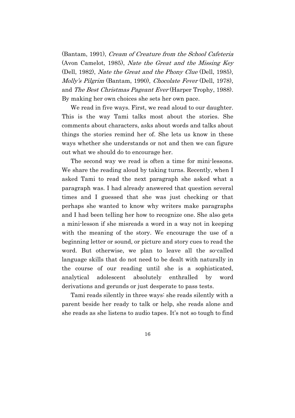(Bantam, 1991), Cream of Creature from the School Cafeteria (Avon Camelot, 1985), Nate the Great and the Missing Key (Dell, 1982), Nate the Great and the Phony Clue (Dell, 1985), Molly's Pilgrim (Bantam, 1990), Chocolate Fever (Dell, 1978), and The Best Christmas Pageant Ever (Harper Trophy, 1988). By making her own choices she sets her own pace.

We read in five ways. First, we read aloud to our daughter. This is the way Tami talks most about the stories. She comments about characters, asks about words and talks about things the stories remind her of. She lets us know in these ways whether she understands or not and then we can figure out what we should do to encourage her.

The second way we read is often a time for mini-lessons. We share the reading aloud by taking turns. Recently, when I asked Tami to read the next paragraph she asked what a paragraph was. I had already answered that question several times and I guessed that she was just checking or that perhaps she wanted to know why writers make paragraphs and I had been telling her how to recognize one. She also gets a mini-lesson if she misreads a word in a way not in keeping with the meaning of the story. We encourage the use of a beginning letter or sound, or picture and story cues to read the word. But otherwise, we plan to leave all the so-called language skills that do not need to be dealt with naturally in the course of our reading until she is a sophisticated, analytical adolescent absolutely enthralled by word derivations and gerunds or just desperate to pass tests.

Tami reads silently in three ways: she reads silently with a parent beside her ready to talk or help, she reads alone and she reads as she listens to audio tapes. It's not so tough to find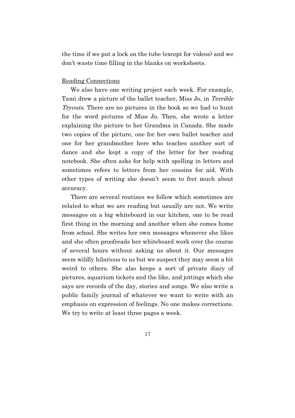the time if we put a lock on the tube (except for videos) and we don't waste time filling in the blanks on worksheets.

#### Reading Connections

We also have one writing project each week. For example, Tami drew a picture of the ballet teacher, Miss Jo, in Terrible Tryouts. There are no pictures in the book so we had to hunt for the word pictures of Miss Jo. Then, she wrote a letter explaining the picture to her Grandma in Canada. She made two copies of the picture, one for her own ballet teacher and one for her grandmother here who teaches another sort of dance and she kept a copy of the letter for her reading notebook. She often asks for help with spelling in letters and sometimes refers to letters from her cousins for aid. With other types of writing she doesn't seem to fret much about accuracy.

There are several routines we follow which sometimes are related to what we are reading but usually are not. We write messages on a big whiteboard in our kitchen, one to be read first thing in the morning and another when she comes home from school. She writes her own messages whenever she likes and she often proofreads her whiteboard work over the course of several hours without asking us about it. Our messages seem wildly hilarious to us but we suspect they may seem a bit weird to others. She also keeps a sort of private diary of pictures, aquarium tickets and the like, and jottings which she says are records of the day, stories and songs. We also write a public family journal of whatever we want to write with an emphasis on expression of feelings. No one makes corrections. We try to write at least three pages a week.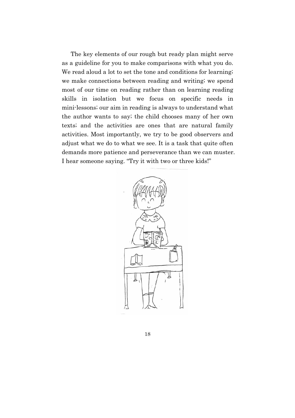The key elements of our rough but ready plan might serve as a guideline for you to make comparisons with what you do. We read aloud a lot to set the tone and conditions for learning; we make connections between reading and writing; we spend most of our time on reading rather than on learning reading skills in isolation but we focus on specific needs in mini-lessons; our aim in reading is always to understand what the author wants to say; the child chooses many of her own texts; and the activities are ones that are natural family activities. Most importantly, we try to be good observers and adjust what we do to what we see. It is a task that quite often demands more patience and perseverance than we can muster. I hear someone saying. "Try it with two or three kids!"

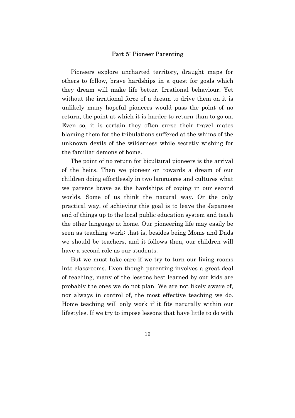#### Part 5: Pioneer Parenting

Pioneers explore uncharted territory, draught maps for others to follow, brave hardships in a quest for goals which they dream will make life better. Irrational behaviour. Yet without the irrational force of a dream to drive them on it is unlikely many hopeful pioneers would pass the point of no return, the point at which it is harder to return than to go on. Even so, it is certain they often curse their travel mates blaming them for the tribulations suffered at the whims of the unknown devils of the wilderness while secretly wishing for the familiar demons of home.

The point of no return for bicultural pioneers is the arrival of the heirs. Then we pioneer on towards a dream of our children doing effortlessly in two languages and cultures what we parents brave as the hardships of coping in our second worlds. Some of us think the natural way. Or the only practical way, of achieving this goal is to leave the Japanese end of things up to the local public education system and teach the other language at home. Our pioneering life may easily be seen as teaching work: that is, besides being Moms and Dads we should be teachers, and it follows then, our children will have a second role as our students.

But we must take care if we try to turn our living rooms into classrooms. Even though parenting involves a great deal of teaching, many of the lessons best learned by our kids are probably the ones we do not plan. We are not likely aware of, nor always in control of, the most effective teaching we do. Home teaching will only work if it fits naturally within our lifestyles. If we try to impose lessons that have little to do with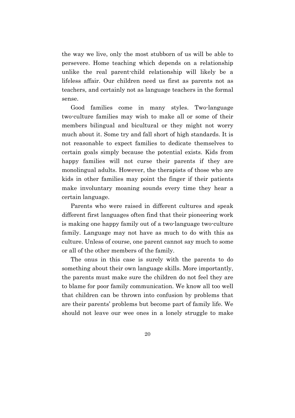the way we live, only the most stubborn of us will be able to persevere. Home teaching which depends on a relationship unlike the real parent-child relationship will likely be a lifeless affair. Our children need us first as parents not as teachers, and certainly not as language teachers in the formal sense.

Good families come in many styles. Two-language two-culture families may wish to make all or some of their members bilingual and bicultural or they might not worry much about it. Some try and fall short of high standards. It is not reasonable to expect families to dedicate themselves to certain goals simply because the potential exists. Kids from happy families will not curse their parents if they are monolingual adults. However, the therapists of those who are kids in other families may point the finger if their patients make involuntary moaning sounds every time they hear a certain language.

Parents who were raised in different cultures and speak different first languages often find that their pioneering work is making one happy family out of a two-language two-culture family. Language may not have as much to do with this as culture. Unless of course, one parent cannot say much to some or all of the other members of the family.

The onus in this case is surely with the parents to do something about their own language skills. More importantly, the parents must make sure the children do not feel they are to blame for poor family communication. We know all too well that children can be thrown into confusion by problems that are their parents' problems but become part of family life. We should not leave our wee ones in a lonely struggle to make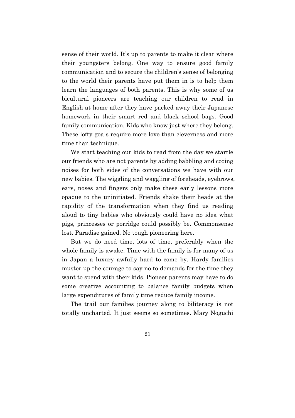sense of their world. It's up to parents to make it clear where their youngsters belong. One way to ensure good family communication and to secure the children's sense of belonging to the world their parents have put them in is to help them learn the languages of both parents. This is why some of us bicultural pioneers are teaching our children to read in English at home after they have packed away their Japanese homework in their smart red and black school bags. Good family communication. Kids who know just where they belong. These lofty goals require more love than cleverness and more time than technique.

We start teaching our kids to read from the day we startle our friends who are not parents by adding babbling and cooing noises for both sides of the conversations we have with our new babies. The wiggling and waggling of foreheads, eyebrows, ears, noses and fingers only make these early lessons more opaque to the uninitiated. Friends shake their heads at the rapidity of the transformation when they find us reading aloud to tiny babies who obviously could have no idea what pigs, princesses or porridge could possibly be. Commonsense lost. Paradise gained. No tough pioneering here.

But we do need time, lots of time, preferably when the whole family is awake. Time with the family is for many of us in Japan a luxury awfully hard to come by. Hardy families muster up the courage to say no to demands for the time they want to spend with their kids. Pioneer parents may have to do some creative accounting to balance family budgets when large expenditures of family time reduce family income.

The trail our families journey along to biliteracy is not totally uncharted. It just seems so sometimes. Mary Noguchi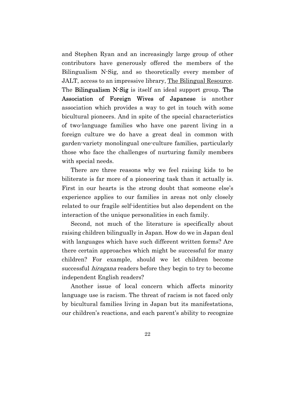and Stephen Ryan and an increasingly large group of other contributors have generously offered the members of the Bilingualism N-Sig, and so theoretically every member of JALT, access to an impressive library, The Bilingual Resource. The Bilingualism N-Sig is itself an ideal support group. The Association of Foreign Wives of Japanese is another association which provides a way to get in touch with some bicultural pioneers. And in spite of the special characteristics of two-language families who have one parent living in a foreign culture we do have a great deal in common with garden-variety monolingual one-culture families, particularly those who face the challenges of nurturing family members with special needs.

There are three reasons why we feel raising kids to be biliterate is far more of a pioneering task than it actually is. First in our hearts is the strong doubt that someone else's experience applies to our families in areas not only closely related to our fragile self-identities but also dependent on the interaction of the unique personalities in each family.

Second, not much of the literature is specifically about raising children bilingually in Japan. How do we in Japan deal with languages which have such different written forms? Are there certain approaches which might be successful for many children? For example, should we let children become successful *hiragana* readers before they begin to try to become independent English readers?

Another issue of local concern which affects minority language use is racism. The threat of racism is not faced only by bicultural families living in Japan but its manifestations, our children's reactions, and each parent's ability to recognize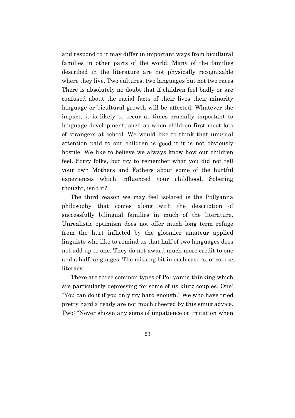and respond to it may differ in important ways from bicultural families in other parts of the world. Many of the families described in the literature are not physically recognizable where they live. Two cultures, two languages but not two races. There is absolutely no doubt that if children feel badly or are confused about the racial facts of their lives their minority language or bicultural growth will be affected. Whatever the impact, it is likely to occur at times crucially important to language development, such as when children first meet lots of strangers at school. We would like to think that unusual attention paid to our children is good if it is not obviously hostile. We like to believe we always know how our children feel. Sorry folks, but try to remember what you did not tell your own Mothers and Fathers about some of the hurtful experiences which influenced your childhood. Sobering thought, isn't it?

The third reason we may feel isolated is the Pollyanna philosophy that comes along with the description of successfully bilingual families in much of the literature. Unrealistic optimism does not offer much long term refuge from the hurt inflicted by the gloomier amateur applied linguists who like to remind us that half of two languages does not add up to one. They do not award much more credit to one and a half languages. The missing bit in each case is, of course, literacy.

There are three common types of Pollyanna thinking which are particularly depressing for some of us klutz couples. One: "You can do it if you only try hard enough." We who have tried pretty hard already are not much cheered by this smug advice. Two: "Never shown any signs of impatience or irritation when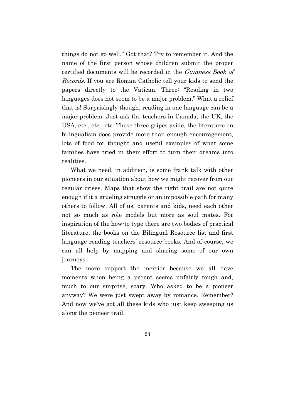things do not go well." Got that? Try to remember it. And the name of the first person whose children submit the proper certified documents will be recorded in the Guinness Book of Records. If you are Roman Catholic tell your kids to send the papers directly to the Vatican. Three: "Reading in two languages does not seem to be a major problem." What a relief that is! Surprisingly though, reading in one language can be a major problem. Just ask the teachers in Canada, the UK, the USA, etc., etc., etc. These three gripes aside, the literature on bilingualism does provide more than enough encouragement, lots of food for thought and useful examples of what some families have tried in their effort to turn their dreams into realities.

What we need, in addition, is some frank talk with other pioneers in our situation about how we might recover from our regular crises. Maps that show the right trail are not quite enough if it a grueling struggle or an impossible path for many others to follow. All of us, parents and kids, need each other not so much as role models but more as soul mates. For inspiration of the how-to type there are two bodies of practical literature, the books on the Bilingual Resource list and first language reading teachers' resource books. And of course, we can all help by mapping and sharing some of our own journeys.

The more support the merrier because we all have moments when being a parent seems unfairly tough and, much to our surprise, scary. Who asked to be a pioneer anyway? We were just swept away by romance. Remember? And now we've got all these kids who just keep sweeping us along the pioneer trail.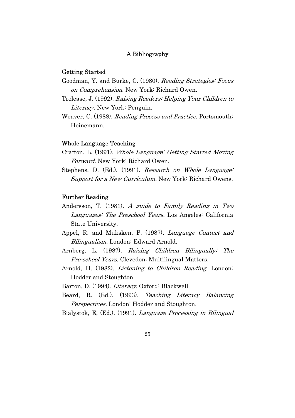#### A Bibliography

#### Getting Started

- Goodman, Y. and Burke, C. (1980). Reading Strategies: Focus on Comprehension. New York: Richard Owen.
- Trelease, J. (1992). Raising Readers: Helping Your Children to Literacy. New York: Penguin.
- Weaver, C. (1988). *Reading Process and Practice*. Portsmouth: Heinemann.

#### Whole Language Teaching

- Crafton, L. (1991). Whole Language: Getting Started Moving Forward. New York: Richard Owen.
- Stephens, D. (Ed.). (1991). Research on Whole Language: Support for a New Curriculum. New York: Richard Owens.

#### Further Reading

- Andersson, T. (1981). A guide to Family Reading in Two Languages: The Preschool Years. Los Angeles: California State University.
- Appel, R. and Muksken, P. (1987). Language Contact and Bilingualism. London: Edward Arnold.
- Arnberg, L. (1987). Raising Children Bilingually: The Pre-school Years. Clevedon: Multilingual Matters.
- Arnold, H. (1982). *Listening to Children Reading*. London: Hodder and Stoughton.

Barton, D. (1994). Literacy. Oxford: Blackwell.

- Beard, R. (Ed.). (1993). Teaching Literacy Balancing Perspectives. London: Hodder and Stoughton.
- Bialystok, E, (Ed.). (1991). *Language Processing in Bilingual* 
	- 25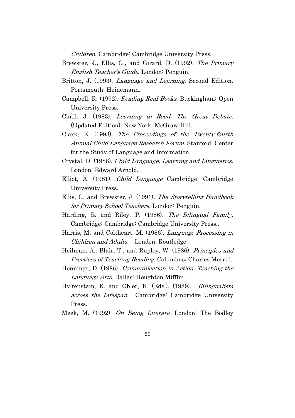Children. Cambridge: Cambridge University Press.

- Brewster, J., Ellis, G., and Girard, D. (1992). The Primary English Teacher's Guide. London: Penguin.
- Britton, J. (1993). *Language and Learning*. Second Edition. Portsmouth: Heinemann.
- Campbell, R. (1992). *Reading Real Books.* Buckingham: Open University Press.
- Chall, J. (1983). Learning to Read: The Great Debate. (Updated Edition). New York: McGraw-Hill.
- Clark, E. (1993). The Proceedings of the Twenty-fourth Annual Child Language Research Forum. Stanford: Center for the Study of Language and Information.
- Crystal, D. (1986). Child Language, Learning and Linguistics. London: Edward Arnold.
- Elliot, A. (1981). Child Language Cambridge: Cambridge University Press.
- Ellis, G. and Brewster, J. (1991). The Storytelling Handbook for Primary School Teachers. London: Penguin.
- Harding, E. and Riley, P. (1986). The Bilingual Family. Cambridge: Cambridge: Cambridge University Press..
- Harris, M. and Coltheart, M. (1986). Language Processing in Children and Adults. London: Routledge.
- Heilman, A,. Blair, T., and Rupley, W. (1986). Principles and Practices of Teaching Reading. Columbus: Charles Merrill.
- Hennings, D. (1986). Communication in Action: Teaching the Language Arts. Dallas: Houghton Mifflin.
- Hyltenstam, K. and Obler, K. (Eds.). (1989). *Bilingualism* across the Lifespan. Cambridge: Cambridge University Press.
- Meek, M. (1992). On Being Literate. London: The Bodley
	- 26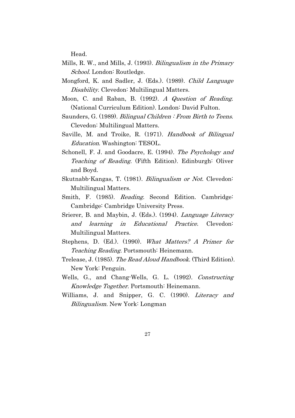Head.

- Mills, R. W., and Mills, J. (1993). *Bilingualism in the Primary* School. London: Routledge.
- Mongford, K. and Sadler, J. (Eds.). (1989). Child Language Disability. Clevedon: Multilingual Matters.
- Moon, C. and Raban, B. (1992). A Question of Reading. (National Curriculum Edition). London: David Fulton.
- Saunders, G. (1989). *Bilingual Children : From Birth to Teens.* Clevedon: Multilingual Matters.
- Saville, M. and Troike, R. (1971). Handbook of Bilingual Education. Washington: TESOL.
- Schonell, F. J. and Goodacre, E. (1994). The Psychology and Teaching of Reading. (Fifth Edition). Edinburgh: Oliver and Boyd.
- Skutnabb-Kangas, T. (1981). Bilingualism or Not. Clevedon: Multilingual Matters.
- Smith, F. (1985). *Reading*. Second Edition. Cambridge: Cambridge: Cambridge University Press.
- Srierer, B. and Maybin, J. (Eds.). (1994). *Language Literacy* and learning in Educational Practice. Clevedon: Multilingual Matters.
- Stephens, D. (Ed.). (1990). What Matters? A Primer for Teaching Reading. Portsmouth: Heinemann.
- Trelease, J. (1985). The Read Aloud Handbook. (Third Edition). New York: Penguin.
- Wells, G., and Chang-Wells, G. L. (1992). Constructing Knowledge Together. Portsmouth: Heinemann.
- Williams, J. and Snipper, G. C. (1990). Literacy and Bilingualism. New York: Longman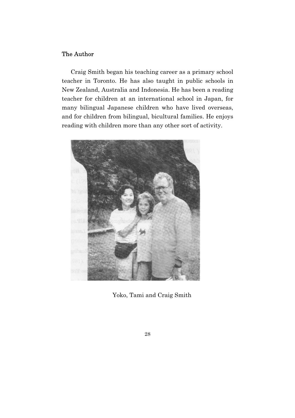#### The Author

Craig Smith began his teaching career as a primary school teacher in Toronto. He has also taught in public schools in New Zealand, Australia and Indonesia. He has been a reading teacher for children at an international school in Japan, for many bilingual Japanese children who have lived overseas, and for children from bilingual, bicultural families. He enjoys reading with children more than any other sort of activity.



Yoko, Tami and Craig Smith